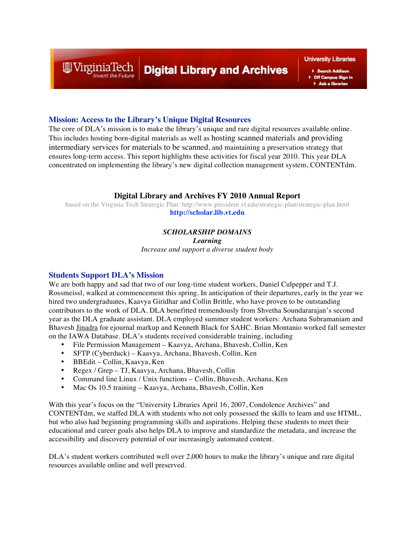## **Digital Library and Archives**

**University Libraries** 

Search Addison Off Campus Sign in Ask a librarian

### **Mission: Access to the Library's Unique Digital Resources**

The core of DLA's mission is to make the library's unique and rare digital resources available online. This includes hosting born-digital materials as well as hosting scanned materials and providing intermediary services for materials to be scanned, and maintaining a preservation strategy that ensures long-term access. This report highlights these activities for fiscal year 2010. This year DLA concentrated on implementing the library's new digital collection management system, CONTENTdm.

#### **Digital Library and Archives FY 2010 Annual Report**

based on the Virginia Tech Strategic Plan: http://www.president.vt.edu/strategic-plan/strategic-plan.html **http://scholar.lib.vt.edu**

### *SCHOLARSHIP DOMAINS*

*Learning*

*Increase and support a diverse student body*

#### **Students Support DLA's Mission**

WirginiaTech

We are both happy and sad that two of our long-time student workers, Daniel Culpepper and T.J. Rossmeissl, walked at commencement this spring. In anticipation of their departures, early in the year we hired two undergraduates, Kaavya Giridhar and Collin Brittle, who have proven to be outstanding contributors to the work of DLA. DLA benefitted tremendously from Shvetha Soundararajan's second year as the DLA graduate assistant. DLA employed summer student workers: Archana Subramaniam and Bhavesh Jinadra for ejournal markup and Kenneth Black for SAHC. Brian Montanio worked fall semester on the IAWA Database. DLA's students received considerable training, including

- File Permission Management Kaavya, Archana, Bhavesh, Collin, Ken
- SFTP (Cyberduck) Kaavya, Archana, Bhavesh, Collin, Ken
- BBEdit Collin, Kaavya, Ken
- Regex / Grep TJ, Kaavya, Archana, Bhavesh, Collin
- Command line Linux / Unix functions Collin, Bhavesh, Archana, Ken<br>• Mac Os 10.5 training Kaayya, Archana, Bhayesh, Collin, Ken
- Mac Os 10.5 training Kaavya, Archana, Bhavesh, Collin, Ken

With this year's focus on the "University Libraries April 16, 2007, Condolence Archives" and CONTENTdm, we staffed DLA with students who not only possessed the skills to learn and use HTML, but who also had beginning programming skills and aspirations. Helping these students to meet their educational and career goals also helps DLA to improve and standardize the metadata, and increase the accessibility and discovery potential of our increasingly automated content.

DLA's student workers contributed well over 2,000 hours to make the library's unique and rare digital resources available online and well preserved.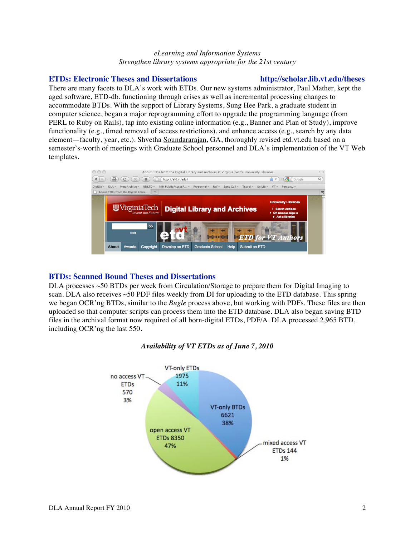#### *eLearning and Information Systems Strengthen library systems appropriate for the 21st century*

#### **ETDs: Electronic Theses and Dissertations http://scholar.lib.vt.edu/theses**

There are many facets to DLA's work with ETDs. Our new systems administrator, Paul Mather, kept the aged software, ETD-db, functioning through crises as well as incremental processing changes to accommodate BTDs. With the support of Library Systems, Sung Hee Park, a graduate student in

computer science, began a major reprogramming effort to upgrade the programming language (from PERL to Ruby on Rails), tap into existing online information (e.g., Banner and Plan of Study), improve functionality (e.g., timed removal of access restrictions), and enhance access (e.g., search by any data element—faculty, year, etc.). Shvetha Soundararajan, GA, thoroughly revised etd.vt.edu based on a semester's-worth of meetings with Graduate School personnel and DLA's implementation of the VT Web templates.



### **BTDs: Scanned Bound Theses and Dissertations**

DLA processes ~50 BTDs per week from Circulation/Storage to prepare them for Digital Imaging to scan. DLA also receives ~50 PDF files weekly from DI for uploading to the ETD database. This spring we began OCR'ng BTDs, similar to the *Bugle* process above, but working with PDFs. These files are then uploaded so that computer scripts can process them into the ETD database. DLA also began saving BTD files in the archival format now required of all born-digital ETDs, PDF/A. DLA processed 2,965 BTD, including OCR'ng the last 550.



### *Availability of VT ETDs as of June 7, 2010*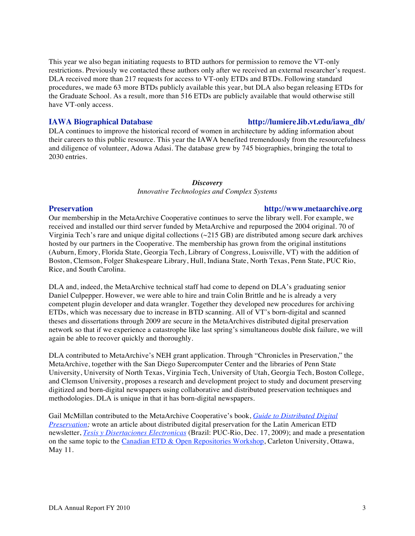This year we also began initiating requests to BTD authors for permission to remove the VT-only restrictions. Previously we contacted these authors only after we received an external researcher's request. DLA received more than 217 requests for access to VT-only ETDs and BTDs. Following standard procedures, we made 63 more BTDs publicly available this year, but DLA also began releasing ETDs for the Graduate School. As a result, more than 516 ETDs are publicly available that would otherwise still have VT-only access.

#### **IAWA Biographical Database http://lumiere.lib.vt.edu/iawa\_db/**

DLA continues to improve the historical record of women in architecture by adding information about their careers to this public resource. This year the IAWA benefited tremendously from the resourcefulness and diligence of volunteer, Adowa Adasi. The database grew by 745 biographies, bringing the total to 2030 entries.

#### *Discovery*

*Innovative Technologies and Complex Systems*

#### **Preservation http://www.metaarchive.org**

Our membership in the MetaArchive Cooperative continues to serve the library well. For example, we received and installed our third server funded by MetaArchive and repurposed the 2004 original. 70 of Virginia Tech's rare and unique digital collections (~215 GB) are distributed among secure dark archives hosted by our partners in the Cooperative. The membership has grown from the original institutions (Auburn, Emory, Florida State, Georgia Tech, Library of Congress, Louisville, VT) with the addition of Boston, Clemson, Folger Shakespeare Library, Hull, Indiana State, North Texas, Penn State, PUC Rio, Rice, and South Carolina.

DLA and, indeed, the MetaArchive technical staff had come to depend on DLA's graduating senior Daniel Culpepper. However, we were able to hire and train Colin Brittle and he is already a very competent plugin developer and data wrangler. Together they developed new procedures for archiving ETDs, which was necessary due to increase in BTD scanning. All of VT's born-digital and scanned theses and dissertations through 2009 are secure in the MetaArchives distributed digital preservation network so that if we experience a catastrophe like last spring's simultaneous double disk failure, we will again be able to recover quickly and thoroughly.

DLA contributed to MetaArchive's NEH grant application. Through "Chronicles in Preservation," the MetaArchive, together with the San Diego Supercomputer Center and the libraries of Penn State University, University of North Texas, Virginia Tech, University of Utah, Georgia Tech, Boston College, and Clemson University, proposes a research and development project to study and document preserving digitized and born-digital newspapers using collaborative and distributed preservation techniques and methodologies. DLA is unique in that it has born-digital newspapers.

Gail McMillan contributed to the MetaArchive Cooperative's book, *Guide to Distributed Digital Preservation;* wrote an article about distributed digital preservation for the Latin American ETD newsletter, *Tesis y Disertaciones Electronicas* (Brazil: PUC-Rio, Dec. 17, 2009); and made a presentation on the same topic to the Canadian ETD & Open Repositories Workshop, Carleton University, Ottawa, May 11.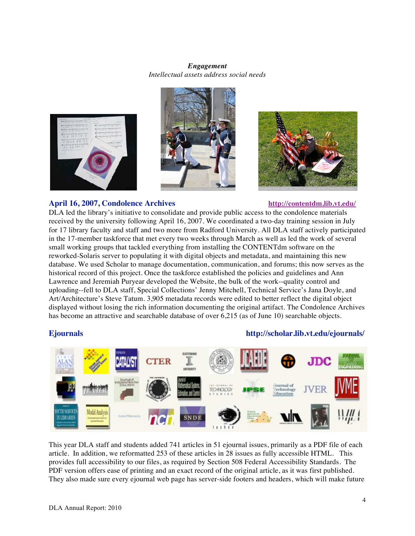### *Engagement Intellectual assets address social needs*







### **April 16, 2007, Condolence Archives http://contentdm.lib.vt.edu/**

DLA led the library's initiative to consolidate and provide public access to the condolence materials received by the university following April 16, 2007. We coordinated a two-day training session in July for 17 library faculty and staff and two more from Radford University. All DLA staff actively participated in the 17-member taskforce that met every two weeks through March as well as led the work of several small working groups that tackled everything from installing the CONTENTdm software on the reworked-Solaris server to populating it with digital objects and metadata, and maintaining this new database. We used Scholar to manage documentation, communication, and forums; this now serves as the historical record of this project. Once the taskforce established the policies and guidelines and Ann Lawrence and Jeremiah Puryear developed the Website, the bulk of the work--quality control and uploading--fell to DLA staff, Special Collections' Jenny Mitchell, Technical Service's Jana Doyle, and Art/Architecture's Steve Tatum. 3,905 metadata records were edited to better reflect the digital object displayed without losing the rich information documenting the original artifact. The Condolence Archives has become an attractive and searchable database of over 6,215 (as of June 10) searchable objects.

#### **Ejournals http://scholar.lib.vt.edu/ejournals/**



This year DLA staff and students added 741 articles in 51 ejournal issues, primarily as a PDF file of each article. In addition, we reformatted 253 of these articles in 28 issues as fully accessible HTML. This provides full accessibility to our files, as required by Section 508 Federal Accessibility Standards. The PDF version offers ease of printing and an exact record of the original article, as it was first published. They also made sure every ejournal web page has server-side footers and headers, which will make future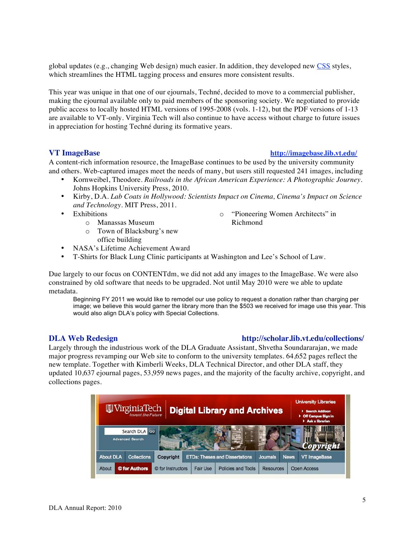global updates (e.g., changing Web design) much easier. In addition, they developed new CSS styles, which streamlines the HTML tagging process and ensures more consistent results.

This year was unique in that one of our ejournals, Techné, decided to move to a commercial publisher, making the ejournal available only to paid members of the sponsoring society. We negotiated to provide public access to locally hosted HTML versions of 1995-2008 (vols. 1-12), but the PDF versions of 1-13 are available to VT-only. Virginia Tech will also continue to have access without charge to future issues in appreciation for hosting Techné during its formative years.

#### **VT ImageBase http://imagebase.lib.vt.edu/**

o "Pioneering Women Architects" in

Richmond

A content-rich information resource, the ImageBase continues to be used by the university community and others. Web-captured images meet the needs of many, but users still requested 241 images, including

- Kornweibel, Theodore. *Railroads in the African American Experience: A Photographic Journey.*  Johns Hopkins University Press, 2010.
- Kirby, D.A. *Lab Coats in Hollywood: Scientists Impact on Cinema, Cinema's Impact on Science and Technology*. MIT Press, 2011.
- Exhibitions
	- o Manassas Museum
	- o Town of Blacksburg's new office building
- NASA's Lifetime Achievement Award
- T-Shirts for Black Lung Clinic participants at Washington and Lee's School of Law.

Due largely to our focus on CONTENTdm, we did not add any images to the ImageBase. We were also constrained by old software that needs to be upgraded. Not until May 2010 were we able to update metadata.

Beginning FY 2011 we would like to remodel our use policy to request a donation rather than charging per image; we believe this would garner the library more than the \$503 we received for image use this year. This would also align DLA's policy with Special Collections.

Largely through the industrious work of the DLA Graduate Assistant, Shvetha Soundararajan, we made major progress revamping our Web site to conform to the university templates. 64,652 pages reflect the new template. Together with Kimberli Weeks, DLA Technical Director, and other DLA staff, they updated 10,637 ejournal pages, 53,959 news pages, and the majority of the faculty archive, copyright, and collections pages.

| WirginiaTech<br><b>Digital Library and Archives</b> |                    |                   |                 |                                       |           |             | <b>University Libraries</b><br>Search Addison<br>▶ Off Campus Sign in<br>Ask a librarian |  |
|-----------------------------------------------------|--------------------|-------------------|-----------------|---------------------------------------|-----------|-------------|------------------------------------------------------------------------------------------|--|
| Search DLA GO<br><b>Advanced Search</b>             |                    |                   |                 |                                       |           |             |                                                                                          |  |
| <b>About DLA</b>                                    | <b>Collections</b> | Copyright         |                 | <b>ETDs: Theses and Dissertations</b> | Journals. | <b>News</b> | VT ImageBase                                                                             |  |
| About                                               | © for Authors      | © for Instructors | <b>Fair Use</b> | Policies and Tools                    | Resources |             | <b>Open Access</b>                                                                       |  |

#### **DLA Web Redesign http://scholar.lib.vt.edu/collections/**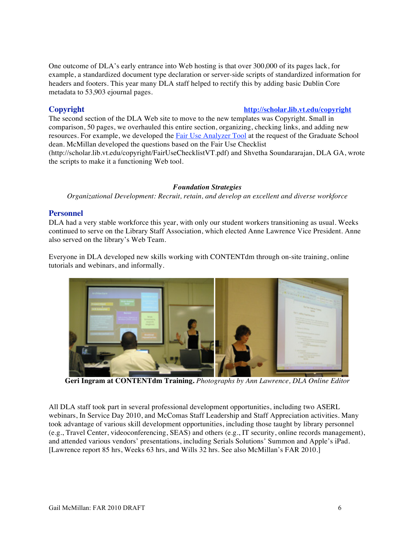One outcome of DLA's early entrance into Web hosting is that over 300,000 of its pages lack, for example, a standardized document type declaration or server-side scripts of standardized information for headers and footers. This year many DLA staff helped to rectify this by adding basic Dublin Core metadata to 53,903 ejournal pages.

#### **Copyright http://scholar.lib.vt.edu/copyright**

The second section of the DLA Web site to move to the new templates was Copyright. Small in comparison, 50 pages, we overhauled this entire section, organizing, checking links, and adding new resources. For example, we developed the **Fair Use Analyzer Tool** at the request of the Graduate School dean. McMillan developed the questions based on the Fair Use Checklist (http://scholar.lib.vt.edu/copyright/FairUseChecklistVT.pdf) and Shvetha Soundararajan, DLA GA, wrote the scripts to make it a functioning Web tool.

#### *Foundation Strategies*

*Organizational Development: Recruit, retain, and develop an excellent and diverse workforce*

### **Personnel**

DLA had a very stable workforce this year, with only our student workers transitioning as usual. Weeks continued to serve on the Library Staff Association, which elected Anne Lawrence Vice President. Anne also served on the library's Web Team.

Everyone in DLA developed new skills working with CONTENTdm through on-site training, online tutorials and webinars, and informally.



**Geri Ingram at CONTENTdm Training.** *Photographs by Ann Lawrence, DLA Online Editor*

All DLA staff took part in several professional development opportunities, including two ASERL webinars, In Service Day 2010, and McComas Staff Leadership and Staff Appreciation activities. Many took advantage of various skill development opportunities, including those taught by library personnel (e.g., Travel Center, videoconferencing, SEAS) and others (e.g., IT security, online records management), and attended various vendors' presentations, including Serials Solutions' Summon and Apple's iPad. [Lawrence report 85 hrs, Weeks 63 hrs, and Wills 32 hrs. See also McMillan's FAR 2010.]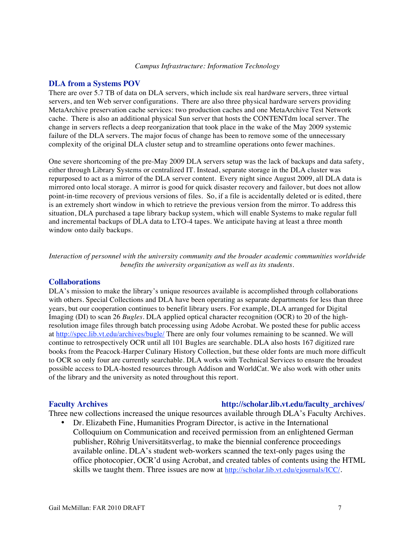#### **DLA from a Systems POV**

There are over 5.7 TB of data on DLA servers, which include six real hardware servers, three virtual servers, and ten Web server configurations. There are also three physical hardware servers providing MetaArchive preservation cache services: two production caches and one MetaArchive Test Network cache. There is also an additional physical Sun server that hosts the CONTENTdm local server. The change in servers reflects a deep reorganization that took place in the wake of the May 2009 systemic failure of the DLA servers. The major focus of change has been to remove some of the unnecessary complexity of the original DLA cluster setup and to streamline operations onto fewer machines.

One severe shortcoming of the pre-May 2009 DLA servers setup was the lack of backups and data safety, either through Library Systems or centralized IT. Instead, separate storage in the DLA cluster was repurposed to act as a mirror of the DLA server content. Every night since August 2009, all DLA data is mirrored onto local storage. A mirror is good for quick disaster recovery and failover, but does not allow point-in-time recovery of previous versions of files. So, if a file is accidentally deleted or is edited, there is an extremely short window in which to retrieve the previous version from the mirror. To address this situation, DLA purchased a tape library backup system, which will enable Systems to make regular full and incremental backups of DLA data to LTO-4 tapes. We anticipate having at least a three month window onto daily backups.

*Interaction of personnel with the university community and the broader academic communities worldwide benefits the university organization as well as its students.*

#### **Collaborations**

DLA's mission to make the library's unique resources available is accomplished through collaborations with others. Special Collections and DLA have been operating as separate departments for less than three years, but our cooperation continues to benefit library users. For example, DLA arranged for Digital Imaging (DI) to scan 26 *Bugles.* DLA applied optical character recognition (OCR) to 20 of the highresolution image files through batch processing using Adobe Acrobat. We posted these for public access at http://spec.lib.vt.edu/archives/bugle/ There are only four volumes remaining to be scanned. We will continue to retrospectively OCR until all 101 Bugles are searchable. DLA also hosts 167 digitized rare books from the Peacock-Harper Culinary History Collection, but these older fonts are much more difficult to OCR so only four are currently searchable. DLA works with Technical Services to ensure the broadest possible access to DLA-hosted resources through Addison and WorldCat. We also work with other units of the library and the university as noted throughout this report.

#### **Faculty Archives http://scholar.lib.vt.edu/faculty\_archives/**

Three new collections increased the unique resources available through DLA's Faculty Archives.

• Dr. Elizabeth Fine, Humanities Program Director, is active in the International Colloquium on Communication and received permission from an enlightened German publisher, Röhrig Universitätsverlag, to make the biennial conference proceedings available online. DLA's student web-workers scanned the text-only pages using the office photocopier, OCR'd using Acrobat, and created tables of contents using the HTML skills we taught them. Three issues are now at http://scholar.lib.vt.edu/ejournals/ICC/.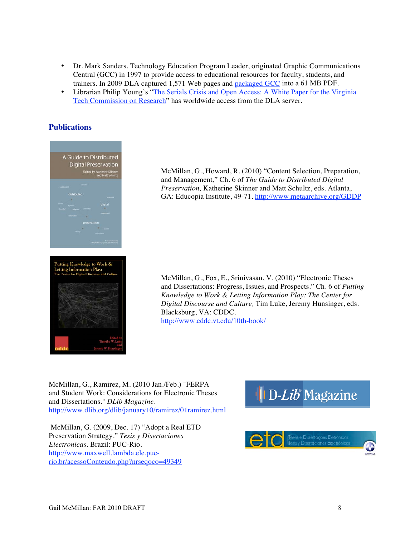- Dr. Mark Sanders, Technology Education Program Leader, originated Graphic Communications Central (GCC) in 1997 to provide access to educational resources for faculty, students, and trainers. In 2009 DLA captured 1,571 Web pages and packaged GCC into a 61 MB PDF.
- Librarian Philip Young's "The Serials Crisis and Open Access: A White Paper for the Virginia Tech Commission on Research" has worldwide access from the DLA server.

#### **Publications**



McMillan, G., Howard, R. (2010) "Content Selection, Preparation, and Management," Ch. 6 of *The Guide to Distributed Digital Preservation,* Katherine Skinner and Matt Schultz, eds. Atlanta, GA: Educopia Institute, 49-71. http://www.metaarchive.org/GDDP

McMillan, G., Fox, E., Srinivasan, V. (2010) "Electronic Theses and Dissertations: Progress, Issues, and Prospects." Ch. 6 of *Putting Knowledge to Work & Letting Information Play: The Center for Digital Discourse and Culture,* Tim Luke, Jeremy Hunsinger, eds. Blacksburg, VA: CDDC. http://www.cddc.vt.edu/10th-book/

McMillan, G., Ramirez, M. (2010 Jan./Feb.) "FERPA and Student Work: Considerations for Electronic Theses and Dissertations." *DLib Magazine*. http://www.dlib.org/dlib/january10/ramirez/01ramirez.html

McMillan, G. (2009, Dec. 17) "Adopt a Real ETD Preservation Strategy." *Tesis y Disertaciones Electronicas*. Brazil: PUC-Rio. http://www.maxwell.lambda.ele.pucrio.br/acessoConteudo.php?nrseqoco=49349

# **ID-Lib** Magazine